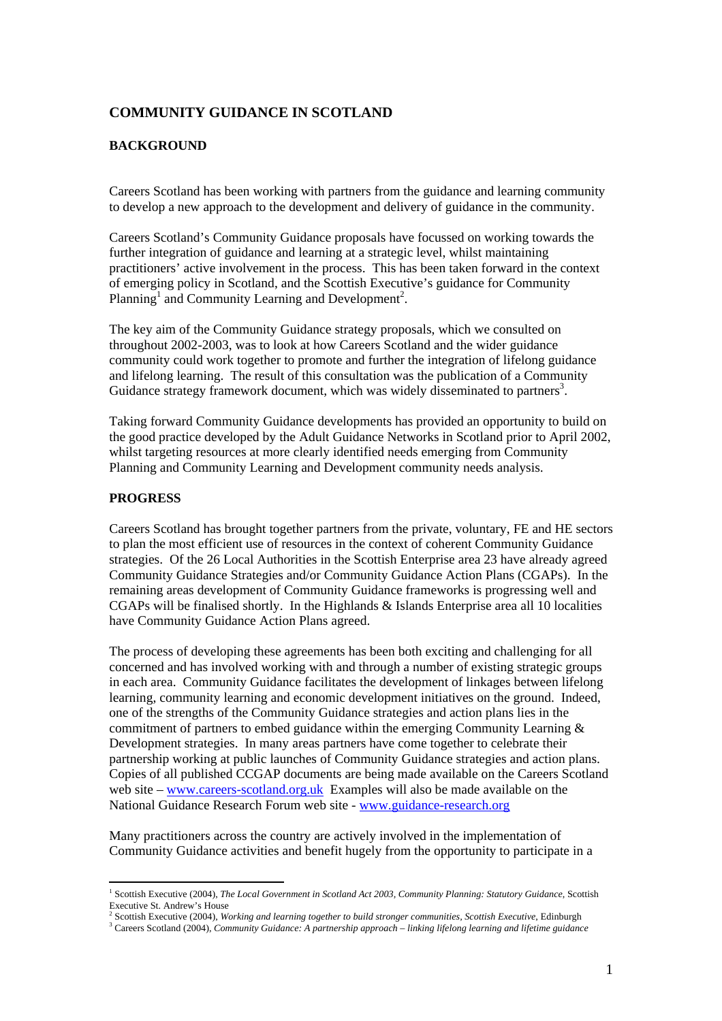# **COMMUNITY GUIDANCE IN SCOTLAND**

## **BACKGROUND**

Careers Scotland has been working with partners from the guidance and learning community to develop a new approach to the development and delivery of guidance in the community.

Careers Scotland's Community Guidance proposals have focussed on working towards the further integration of guidance and learning at a strategic level, whilst maintaining practitioners' active involvement in the process. This has been taken forward in the context of emerging policy in Scotland, and the Scottish Executive's guidance for Community Planning<sup>1</sup> and Community Learning and Development<sup>2</sup>.

The key aim of the Community Guidance strategy proposals, which we consulted on throughout 2002-2003, was to look at how Careers Scotland and the wider guidance community could work together to promote and further the integration of lifelong guidance and lifelong learning. The result of this consultation was the publication of a Community Guidance strategy framework document, which was widely disseminated to partners<sup>3</sup>.

Taking forward Community Guidance developments has provided an opportunity to build on the good practice developed by the Adult Guidance Networks in Scotland prior to April 2002, whilst targeting resources at more clearly identified needs emerging from Community Planning and Community Learning and Development community needs analysis.

## **PROGRESS**

 $\overline{a}$ 

Careers Scotland has brought together partners from the private, voluntary, FE and HE sectors to plan the most efficient use of resources in the context of coherent Community Guidance strategies. Of the 26 Local Authorities in the Scottish Enterprise area 23 have already agreed Community Guidance Strategies and/or Community Guidance Action Plans (CGAPs). In the remaining areas development of Community Guidance frameworks is progressing well and CGAPs will be finalised shortly. In the Highlands & Islands Enterprise area all 10 localities have Community Guidance Action Plans agreed.

The process of developing these agreements has been both exciting and challenging for all concerned and has involved working with and through a number of existing strategic groups in each area. Community Guidance facilitates the development of linkages between lifelong learning, community learning and economic development initiatives on the ground. Indeed, one of the strengths of the Community Guidance strategies and action plans lies in the commitment of partners to embed guidance within the emerging Community Learning  $\&$ Development strategies. In many areas partners have come together to celebrate their partnership working at public launches of Community Guidance strategies and action plans. Copies of all published CCGAP documents are being made available on the Careers Scotland web site – www.careers-scotland.org.uk Examples will also be made available on the National Guidance Research Forum web site - www.guidance-research.org

Many practitioners across the country are actively involved in the implementation of Community Guidance activities and benefit hugely from the opportunity to participate in a

<sup>&</sup>lt;sup>1</sup> Scottish Executive (2004), *The Local Government in Scotland Act 2003, Community Planning: Statutory Guidance*, Scottish Executive St. Andrew's House<br><sup>2</sup> Scottish Executive (2004), *Working and learning together to build stronger communities, Scottish Executive*, Edinburgh<br><sup>3</sup> Careers Sectland (2004), *Community Cuidmae: A partnership anneac* 

Careers Scotland (2004), *Community Guidance: A partnership approach – linking lifelong learning and lifetime guidance*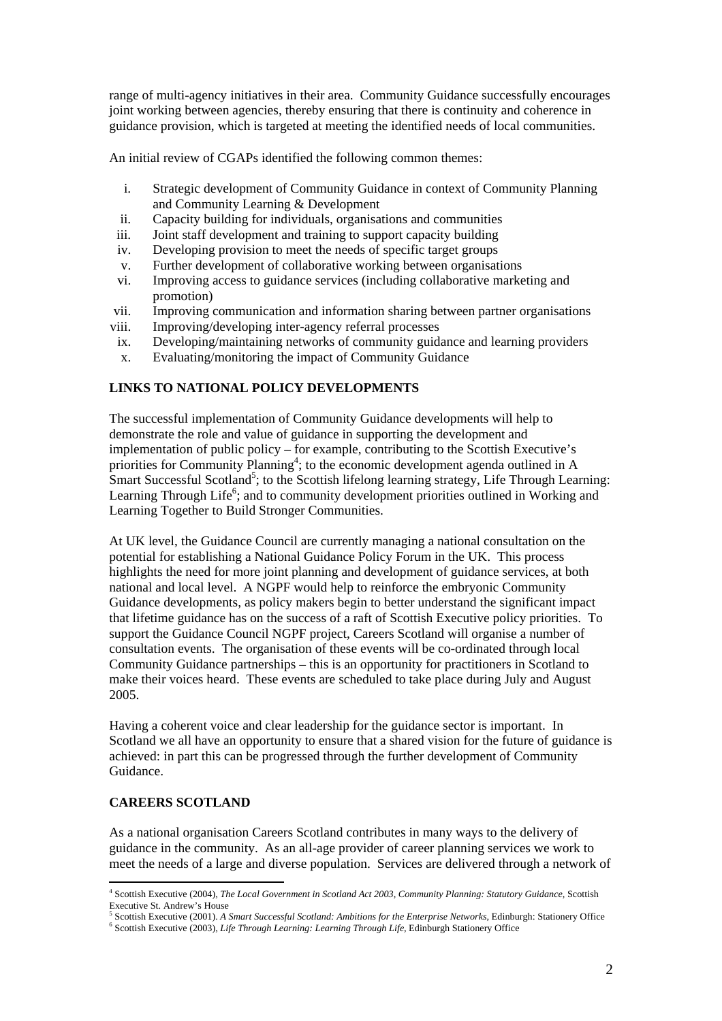range of multi-agency initiatives in their area. Community Guidance successfully encourages joint working between agencies, thereby ensuring that there is continuity and coherence in guidance provision, which is targeted at meeting the identified needs of local communities.

An initial review of CGAPs identified the following common themes:

- i. Strategic development of Community Guidance in context of Community Planning and Community Learning & Development
- ii. Capacity building for individuals, organisations and communities
- iii. Joint staff development and training to support capacity building
- iv. Developing provision to meet the needs of specific target groups
- v. Further development of collaborative working between organisations
- vi. Improving access to guidance services (including collaborative marketing and promotion)
- vii. Improving communication and information sharing between partner organisations
- viii. Improving/developing inter-agency referral processes
- ix. Developing/maintaining networks of community guidance and learning providers
- x. Evaluating/monitoring the impact of Community Guidance

#### **LINKS TO NATIONAL POLICY DEVELOPMENTS**

The successful implementation of Community Guidance developments will help to demonstrate the role and value of guidance in supporting the development and implementation of public policy – for example, contributing to the Scottish Executive's priorities for Community Planning<sup>4</sup>; to the economic development agenda outlined in A Smart Successful Scotland<sup>5</sup>; to the Scottish lifelong learning strategy, Life Through Learning: Learning Through Life<sup>6</sup>; and to community development priorities outlined in Working and Learning Together to Build Stronger Communities.

At UK level, the Guidance Council are currently managing a national consultation on the potential for establishing a National Guidance Policy Forum in the UK. This process highlights the need for more joint planning and development of guidance services, at both national and local level. A NGPF would help to reinforce the embryonic Community Guidance developments, as policy makers begin to better understand the significant impact that lifetime guidance has on the success of a raft of Scottish Executive policy priorities. To support the Guidance Council NGPF project, Careers Scotland will organise a number of consultation events. The organisation of these events will be co-ordinated through local Community Guidance partnerships – this is an opportunity for practitioners in Scotland to make their voices heard. These events are scheduled to take place during July and August 2005.

Having a coherent voice and clear leadership for the guidance sector is important. In Scotland we all have an opportunity to ensure that a shared vision for the future of guidance is achieved: in part this can be progressed through the further development of Community Guidance.

### **CAREERS SCOTLAND**

 $\overline{a}$ 

As a national organisation Careers Scotland contributes in many ways to the delivery of guidance in the community. As an all-age provider of career planning services we work to meet the needs of a large and diverse population. Services are delivered through a network of

<sup>4</sup> Scottish Executive (2004), *The Local Government in Scotland Act 2003, Community Planning: Statutory Guidance*, Scottish

Executive St. Andrew's House<br><sup>5</sup> Scottish Executive (2001). *A Smart Successful Scotland: Ambitions for the Enterprise Networks*, Edinburgh: Stationery Office<br><sup>6</sup> Secttish Executive (2003), *Life Through Learning: Learning* Scottish Executive (2003), *Life Through Learning: Learning Through Life,* Edinburgh Stationery Office